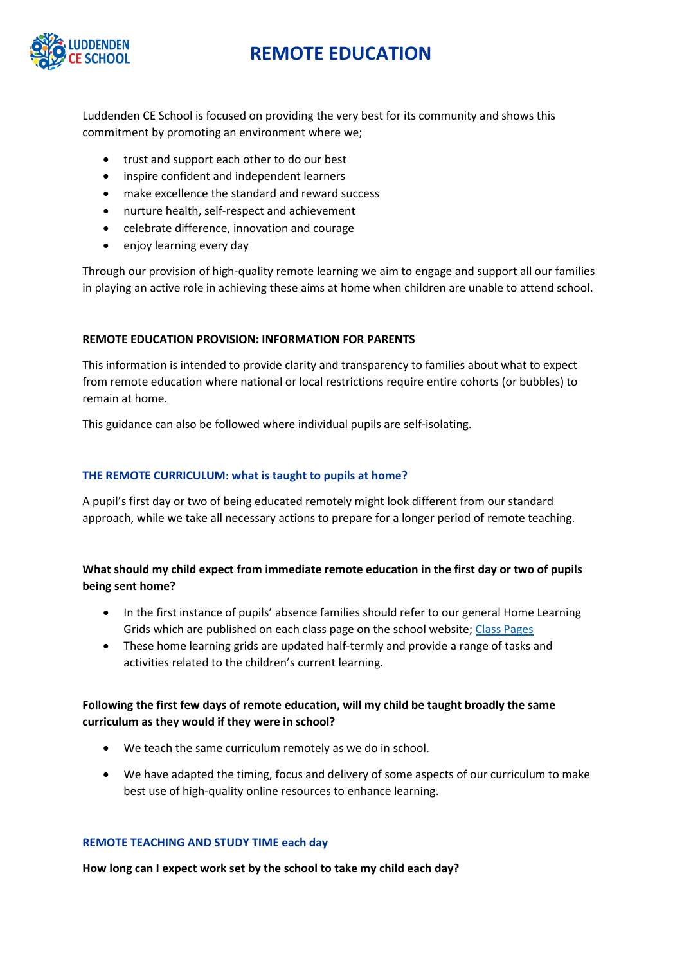

Luddenden CE School is focused on providing the very best for its community and shows this commitment by promoting an environment where we;

- trust and support each other to do our best
- inspire confident and independent learners
- make excellence the standard and reward success
- nurture health, self-respect and achievement
- celebrate difference, innovation and courage
- enjoy learning every day

Through our provision of high-quality remote learning we aim to engage and support all our families in playing an active role in achieving these aims at home when children are unable to attend school.

### **REMOTE EDUCATION PROVISION: INFORMATION FOR PARENTS**

This information is intended to provide clarity and transparency to families about what to expect from remote education where national or local restrictions require entire cohorts (or bubbles) to remain at home.

This guidance can also be followed where individual pupils are self-isolating.

### **THE REMOTE CURRICULUM: what is taught to pupils at home?**

A pupil's first day or two of being educated remotely might look different from our standard approach, while we take all necessary actions to prepare for a longer period of remote teaching.

## **What should my child expect from immediate remote education in the first day or two of pupils being sent home?**

- In the first instance of pupils' absence families should refer to our general Home Learning Grids which are published on each class page on the school website; [Class Pages](https://www.luddenden-ce.calderdale.sch.uk/sporting-activities)
- These home learning grids are updated half-termly and provide a range of tasks and activities related to the children's current learning.

## **Following the first few days of remote education, will my child be taught broadly the same curriculum as they would if they were in school?**

- We teach the same curriculum remotely as we do in school.
- We have adapted the timing, focus and delivery of some aspects of our curriculum to make best use of high-quality online resources to enhance learning.

#### **REMOTE TEACHING AND STUDY TIME each day**

**How long can I expect work set by the school to take my child each day?**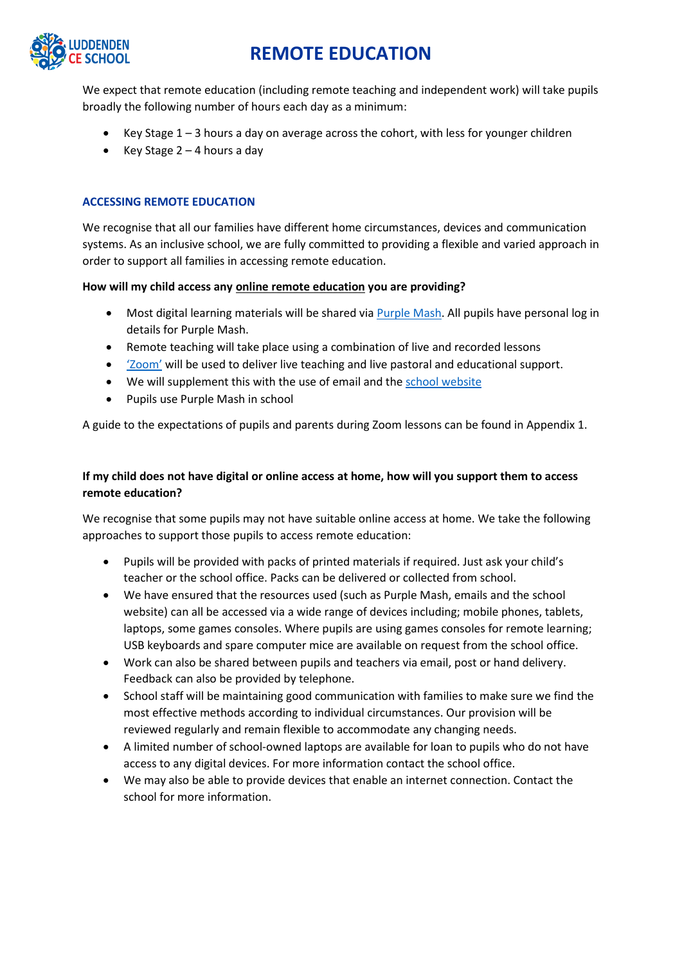

We expect that remote education (including remote teaching and independent work) will take pupils broadly the following number of hours each day as a minimum:

- Key Stage  $1 3$  hours a day on average across the cohort, with less for younger children
- Key Stage  $2 4$  hours a day

#### **ACCESSING REMOTE EDUCATION**

We recognise that all our families have different home circumstances, devices and communication systems. As an inclusive school, we are fully committed to providing a flexible and varied approach in order to support all families in accessing remote education.

#### **How will my child access any online remote education you are providing?**

- Most digital learning materials will be shared via [Purple Mash.](https://www.purplemash.com/sch/luddendenjin) All pupils have personal log in details for Purple Mash.
- Remote teaching will take place using a combination of live and recorded lessons
- ['Zoom'](https://zoom.us/join) will be used to deliver live teaching and live pastoral and educational support.
- We will supplement this with the use of email and the [school website](https://www.luddenden-ce.calderdale.sch.uk/sporting-activities)
- Pupils use Purple Mash in school

A guide to the expectations of pupils and parents during Zoom lessons can be found in Appendix 1.

## **If my child does not have digital or online access at home, how will you support them to access remote education?**

We recognise that some pupils may not have suitable online access at home. We take the following approaches to support those pupils to access remote education:

- Pupils will be provided with packs of printed materials if required. Just ask your child's teacher or the school office. Packs can be delivered or collected from school.
- We have ensured that the resources used (such as Purple Mash, emails and the school website) can all be accessed via a wide range of devices including; mobile phones, tablets, laptops, some games consoles. Where pupils are using games consoles for remote learning; USB keyboards and spare computer mice are available on request from the school office.
- Work can also be shared between pupils and teachers via email, post or hand delivery. Feedback can also be provided by telephone.
- School staff will be maintaining good communication with families to make sure we find the most effective methods according to individual circumstances. Our provision will be reviewed regularly and remain flexible to accommodate any changing needs.
- A limited number of school-owned laptops are available for loan to pupils who do not have access to any digital devices. For more information contact the school office.
- We may also be able to provide devices that enable an internet connection. Contact the school for more information.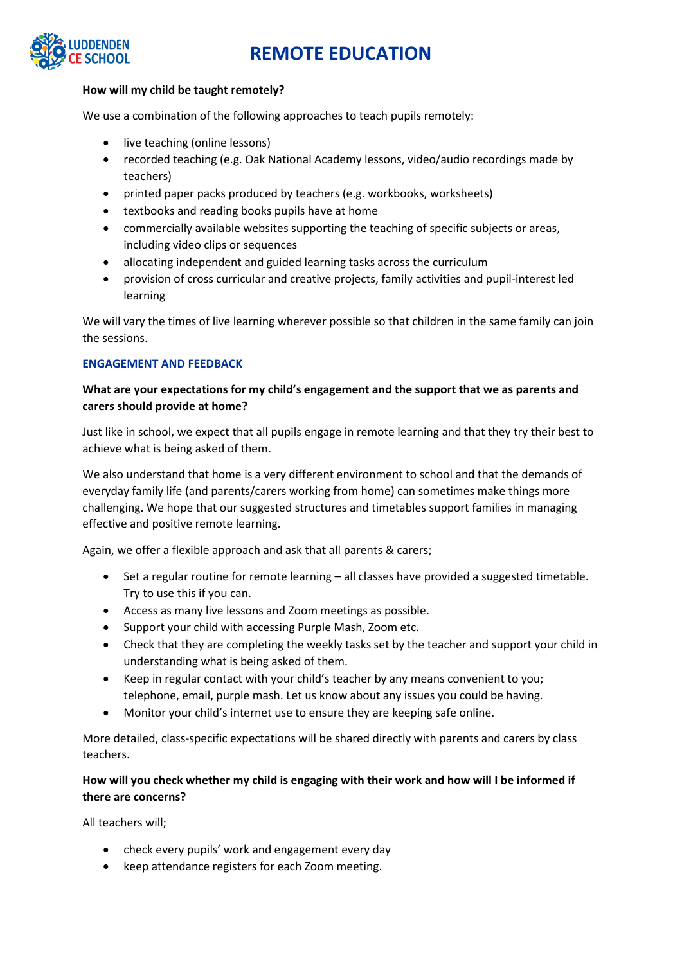

#### **How will my child be taught remotely?**

We use a combination of the following approaches to teach pupils remotely:

- live teaching (online lessons)
- recorded teaching (e.g. Oak National Academy lessons, video/audio recordings made by teachers)
- printed paper packs produced by teachers (e.g. workbooks, worksheets)
- textbooks and reading books pupils have at home
- commercially available websites supporting the teaching of specific subjects or areas, including video clips or sequences
- allocating independent and guided learning tasks across the curriculum
- provision of cross curricular and creative projects, family activities and pupil-interest led learning

We will vary the times of live learning wherever possible so that children in the same family can join the sessions.

#### **ENGAGEMENT AND FEEDBACK**

### **What are your expectations for my child's engagement and the support that we as parents and carers should provide at home?**

Just like in school, we expect that all pupils engage in remote learning and that they try their best to achieve what is being asked of them.

We also understand that home is a very different environment to school and that the demands of everyday family life (and parents/carers working from home) can sometimes make things more challenging. We hope that our suggested structures and timetables support families in managing effective and positive remote learning.

Again, we offer a flexible approach and ask that all parents & carers;

- Set a regular routine for remote learning all classes have provided a suggested timetable. Try to use this if you can.
- Access as many live lessons and Zoom meetings as possible.
- Support your child with accessing Purple Mash, Zoom etc.
- Check that they are completing the weekly tasks set by the teacher and support your child in understanding what is being asked of them.
- Keep in regular contact with your child's teacher by any means convenient to you; telephone, email, purple mash. Let us know about any issues you could be having.
- Monitor your child's internet use to ensure they are keeping safe online.

More detailed, class-specific expectations will be shared directly with parents and carers by class teachers.

### **How will you check whether my child is engaging with their work and how will I be informed if there are concerns?**

All teachers will;

- check every pupils' work and engagement every day
- keep attendance registers for each Zoom meeting.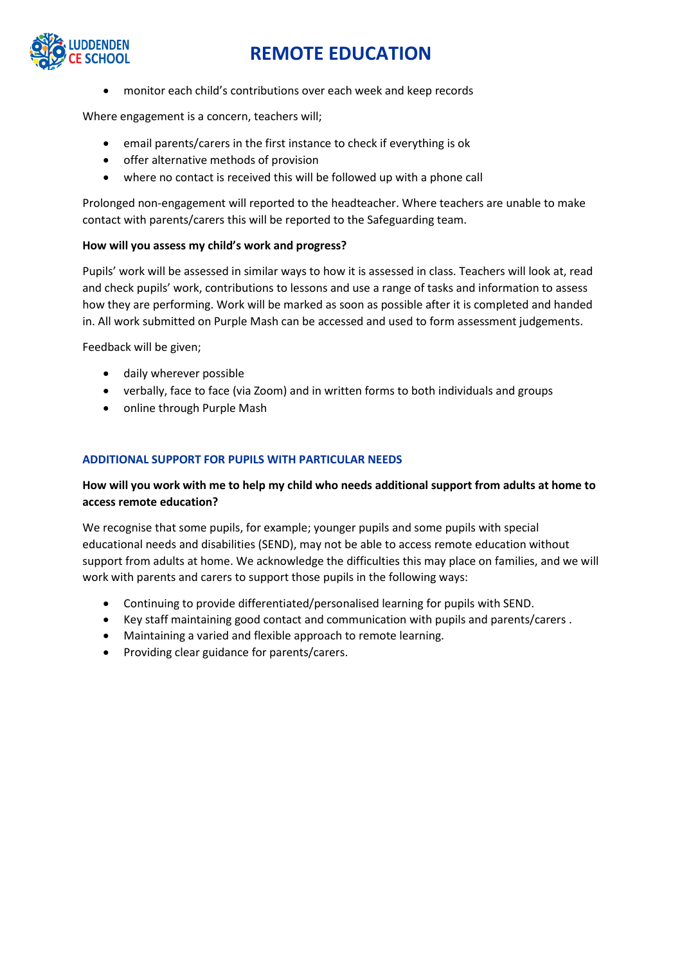

• monitor each child's contributions over each week and keep records

Where engagement is a concern, teachers will;

- email parents/carers in the first instance to check if everything is ok
- offer alternative methods of provision
- where no contact is received this will be followed up with a phone call

Prolonged non-engagement will reported to the headteacher. Where teachers are unable to make contact with parents/carers this will be reported to the Safeguarding team.

#### **How will you assess my child's work and progress?**

Pupils' work will be assessed in similar ways to how it is assessed in class. Teachers will look at, read and check pupils' work, contributions to lessons and use a range of tasks and information to assess how they are performing. Work will be marked as soon as possible after it is completed and handed in. All work submitted on Purple Mash can be accessed and used to form assessment judgements.

Feedback will be given;

- daily wherever possible
- verbally, face to face (via Zoom) and in written forms to both individuals and groups
- online through Purple Mash

#### **ADDITIONAL SUPPORT FOR PUPILS WITH PARTICULAR NEEDS**

### **How will you work with me to help my child who needs additional support from adults at home to access remote education?**

We recognise that some pupils, for example; younger pupils and some pupils with special educational needs and disabilities (SEND), may not be able to access remote education without support from adults at home. We acknowledge the difficulties this may place on families, and we will work with parents and carers to support those pupils in the following ways:

- Continuing to provide differentiated/personalised learning for pupils with SEND.
- Key staff maintaining good contact and communication with pupils and parents/carers .
- Maintaining a varied and flexible approach to remote learning.
- Providing clear guidance for parents/carers.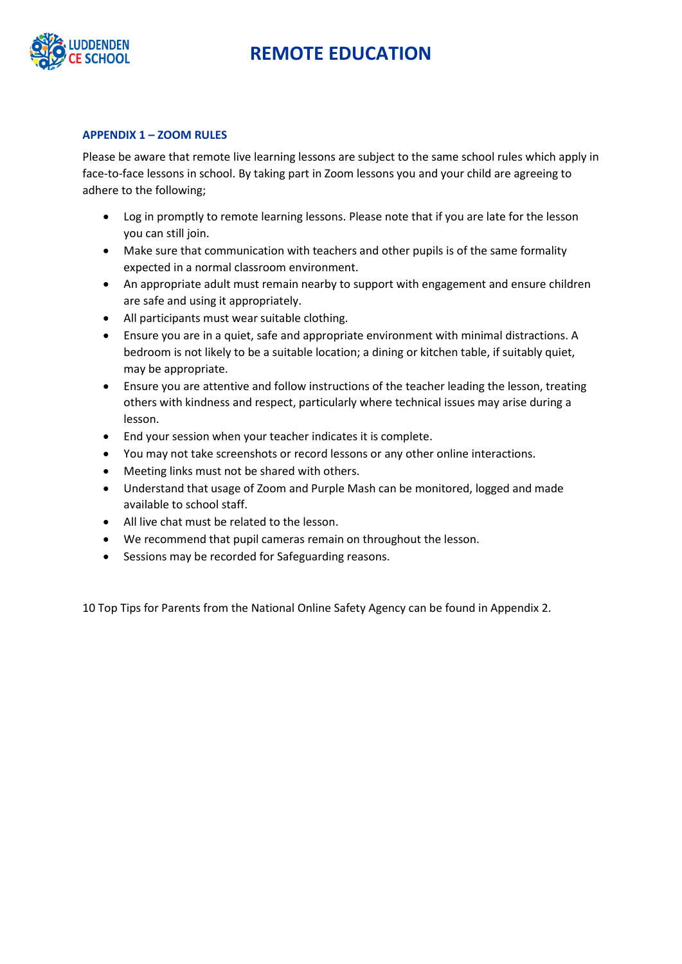

#### **APPENDIX 1 – ZOOM RULES**

Please be aware that remote live learning lessons are subject to the same school rules which apply in face-to-face lessons in school. By taking part in Zoom lessons you and your child are agreeing to adhere to the following;

- Log in promptly to remote learning lessons. Please note that if you are late for the lesson you can still join.
- Make sure that communication with teachers and other pupils is of the same formality expected in a normal classroom environment.
- An appropriate adult must remain nearby to support with engagement and ensure children are safe and using it appropriately.
- All participants must wear suitable clothing.
- Ensure you are in a quiet, safe and appropriate environment with minimal distractions. A bedroom is not likely to be a suitable location; a dining or kitchen table, if suitably quiet, may be appropriate.
- Ensure you are attentive and follow instructions of the teacher leading the lesson, treating others with kindness and respect, particularly where technical issues may arise during a lesson.
- End your session when your teacher indicates it is complete.
- You may not take screenshots or record lessons or any other online interactions.
- Meeting links must not be shared with others.
- Understand that usage of Zoom and Purple Mash can be monitored, logged and made available to school staff.
- All live chat must be related to the lesson.
- We recommend that pupil cameras remain on throughout the lesson.
- Sessions may be recorded for Safeguarding reasons.

10 Top Tips for Parents from the National Online Safety Agency can be found in Appendix 2.